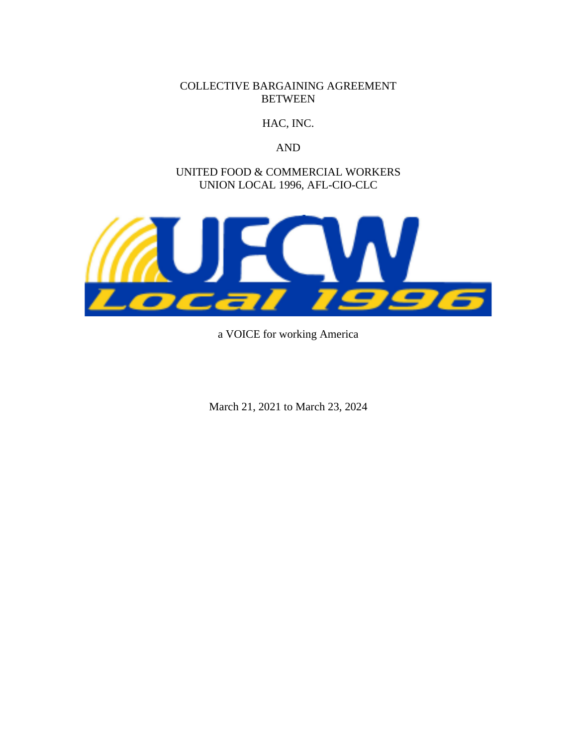COLLECTIVE BARGAINING AGREEMENT **BETWEEN** 

HAC, INC.

AND

UNITED FOOD & COMMERCIAL WORKERS UNION LOCAL 1996, AFL-CIO-CLC



a VOICE for working America

March 21, 2021 to March 23, 2024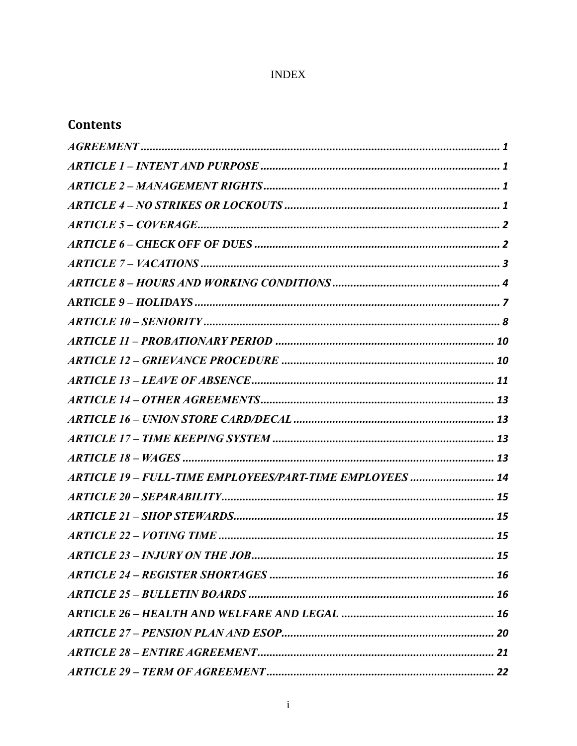## **INDEX**

# **Contents**

| ARTICLE 19 - FULL-TIME EMPLOYEES/PART-TIME EMPLOYEES  14 |
|----------------------------------------------------------|
|                                                          |
|                                                          |
|                                                          |
|                                                          |
|                                                          |
|                                                          |
|                                                          |
|                                                          |
|                                                          |
|                                                          |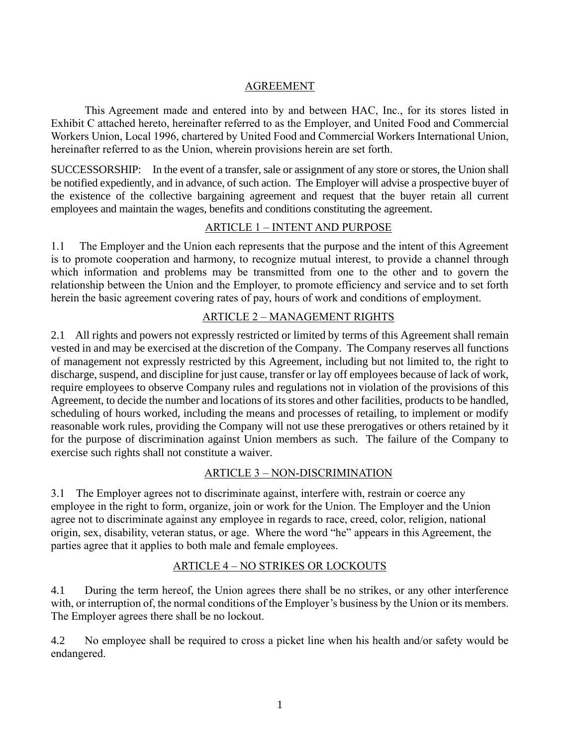### AGREEMENT

<span id="page-3-0"></span>This Agreement made and entered into by and between HAC, Inc., for its stores listed in Exhibit C attached hereto, hereinafter referred to as the Employer, and United Food and Commercial Workers Union, Local 1996, chartered by United Food and Commercial Workers International Union, hereinafter referred to as the Union, wherein provisions herein are set forth.

SUCCESSORSHIP: In the event of a transfer, sale or assignment of any store or stores, the Union shall be notified expediently, and in advance, of such action. The Employer will advise a prospective buyer of the existence of the collective bargaining agreement and request that the buyer retain all current employees and maintain the wages, benefits and conditions constituting the agreement.

### ARTICLE 1 – INTENT AND PURPOSE

<span id="page-3-1"></span>1.1 The Employer and the Union each represents that the purpose and the intent of this Agreement is to promote cooperation and harmony, to recognize mutual interest, to provide a channel through which information and problems may be transmitted from one to the other and to govern the relationship between the Union and the Employer, to promote efficiency and service and to set forth herein the basic agreement covering rates of pay, hours of work and conditions of employment.

## ARTICLE 2 – MANAGEMENT RIGHTS

<span id="page-3-2"></span>2.1 All rights and powers not expressly restricted or limited by terms of this Agreement shall remain vested in and may be exercised at the discretion of the Company. The Company reserves all functions of management not expressly restricted by this Agreement, including but not limited to, the right to discharge, suspend, and discipline for just cause, transfer or lay off employees because of lack of work, require employees to observe Company rules and regulations not in violation of the provisions of this Agreement, to decide the number and locations of its stores and other facilities, products to be handled, scheduling of hours worked, including the means and processes of retailing, to implement or modify reasonable work rules, providing the Company will not use these prerogatives or others retained by it for the purpose of discrimination against Union members as such. The failure of the Company to exercise such rights shall not constitute a waiver.

### ARTICLE 3 – NON-DISCRIMINATION

3.1 The Employer agrees not to discriminate against, interfere with, restrain or coerce any employee in the right to form, organize, join or work for the Union. The Employer and the Union agree not to discriminate against any employee in regards to race, creed, color, religion, national origin, sex, disability, veteran status, or age. Where the word "he" appears in this Agreement, the parties agree that it applies to both male and female employees.

### ARTICLE 4 – NO STRIKES OR LOCKOUTS

<span id="page-3-3"></span>4.1 During the term hereof, the Union agrees there shall be no strikes, or any other interference with, or interruption of, the normal conditions of the Employer's business by the Union or its members. The Employer agrees there shall be no lockout.

4.2 No employee shall be required to cross a picket line when his health and/or safety would be endangered.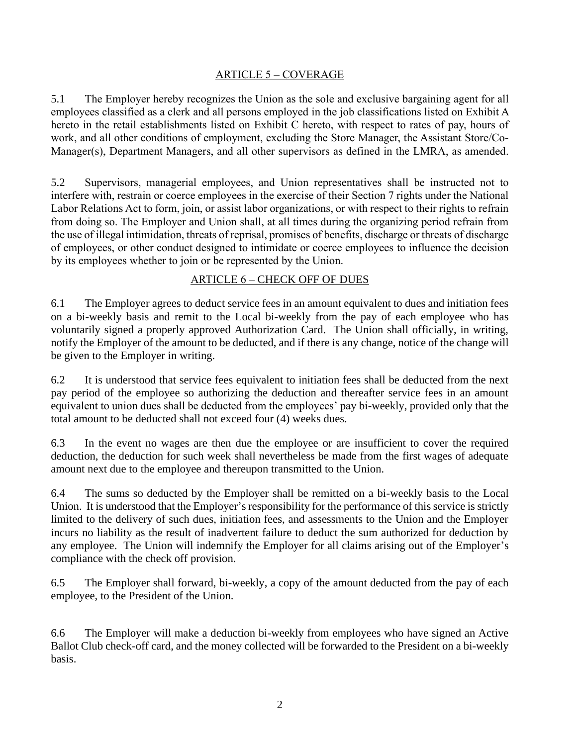#### ARTICLE 5 – COVERAGE

<span id="page-4-0"></span>5.1 The Employer hereby recognizes the Union as the sole and exclusive bargaining agent for all employees classified as a clerk and all persons employed in the job classifications listed on Exhibit A hereto in the retail establishments listed on Exhibit C hereto, with respect to rates of pay, hours of work, and all other conditions of employment, excluding the Store Manager, the Assistant Store/Co-Manager(s), Department Managers, and all other supervisors as defined in the LMRA, as amended.

5.2 Supervisors, managerial employees, and Union representatives shall be instructed not to interfere with, restrain or coerce employees in the exercise of their Section 7 rights under the National Labor Relations Act to form, join, or assist labor organizations, or with respect to their rights to refrain from doing so. The Employer and Union shall, at all times during the organizing period refrain from the use of illegal intimidation, threats of reprisal, promises of benefits, discharge or threats of discharge of employees, or other conduct designed to intimidate or coerce employees to influence the decision by its employees whether to join or be represented by the Union.

#### ARTICLE 6 – CHECK OFF OF DUES

<span id="page-4-1"></span>6.1 The Employer agrees to deduct service fees in an amount equivalent to dues and initiation fees on a bi-weekly basis and remit to the Local bi-weekly from the pay of each employee who has voluntarily signed a properly approved Authorization Card. The Union shall officially, in writing, notify the Employer of the amount to be deducted, and if there is any change, notice of the change will be given to the Employer in writing.

6.2 It is understood that service fees equivalent to initiation fees shall be deducted from the next pay period of the employee so authorizing the deduction and thereafter service fees in an amount equivalent to union dues shall be deducted from the employees' pay bi-weekly, provided only that the total amount to be deducted shall not exceed four (4) weeks dues.

6.3 In the event no wages are then due the employee or are insufficient to cover the required deduction, the deduction for such week shall nevertheless be made from the first wages of adequate amount next due to the employee and thereupon transmitted to the Union.

6.4 The sums so deducted by the Employer shall be remitted on a bi-weekly basis to the Local Union. It is understood that the Employer's responsibility for the performance of this service is strictly limited to the delivery of such dues, initiation fees, and assessments to the Union and the Employer incurs no liability as the result of inadvertent failure to deduct the sum authorized for deduction by any employee. The Union will indemnify the Employer for all claims arising out of the Employer's compliance with the check off provision.

6.5 The Employer shall forward, bi-weekly, a copy of the amount deducted from the pay of each employee, to the President of the Union.

6.6 The Employer will make a deduction bi-weekly from employees who have signed an Active Ballot Club check-off card, and the money collected will be forwarded to the President on a bi-weekly basis.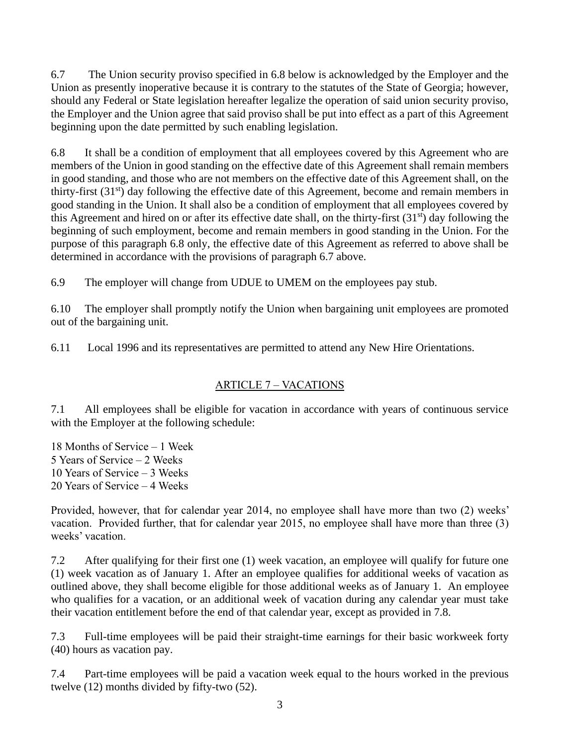6.7 The Union security proviso specified in 6.8 below is acknowledged by the Employer and the Union as presently inoperative because it is contrary to the statutes of the State of Georgia; however, should any Federal or State legislation hereafter legalize the operation of said union security proviso, the Employer and the Union agree that said proviso shall be put into effect as a part of this Agreement beginning upon the date permitted by such enabling legislation.

6.8 It shall be a condition of employment that all employees covered by this Agreement who are members of the Union in good standing on the effective date of this Agreement shall remain members in good standing, and those who are not members on the effective date of this Agreement shall, on the thirty-first (31st) day following the effective date of this Agreement, become and remain members in good standing in the Union. It shall also be a condition of employment that all employees covered by this Agreement and hired on or after its effective date shall, on the thirty-first  $(31<sup>st</sup>)$  day following the beginning of such employment, become and remain members in good standing in the Union. For the purpose of this paragraph 6.8 only, the effective date of this Agreement as referred to above shall be determined in accordance with the provisions of paragraph 6.7 above.

6.9 The employer will change from UDUE to UMEM on the employees pay stub.

6.10 The employer shall promptly notify the Union when bargaining unit employees are promoted out of the bargaining unit.

6.11 Local 1996 and its representatives are permitted to attend any New Hire Orientations.

## ARTICLE 7 – VACATIONS

<span id="page-5-0"></span>7.1 All employees shall be eligible for vacation in accordance with years of continuous service with the Employer at the following schedule:

18 Months of Service – 1 Week 5 Years of Service – 2 Weeks 10 Years of Service – 3 Weeks 20 Years of Service – 4 Weeks

Provided, however, that for calendar year 2014, no employee shall have more than two (2) weeks' vacation. Provided further, that for calendar year 2015, no employee shall have more than three (3) weeks' vacation.

7.2 After qualifying for their first one (1) week vacation, an employee will qualify for future one (1) week vacation as of January 1. After an employee qualifies for additional weeks of vacation as outlined above, they shall become eligible for those additional weeks as of January 1. An employee who qualifies for a vacation, or an additional week of vacation during any calendar year must take their vacation entitlement before the end of that calendar year, except as provided in 7.8.

7.3 Full-time employees will be paid their straight-time earnings for their basic workweek forty (40) hours as vacation pay.

7.4 Part-time employees will be paid a vacation week equal to the hours worked in the previous twelve (12) months divided by fifty-two (52).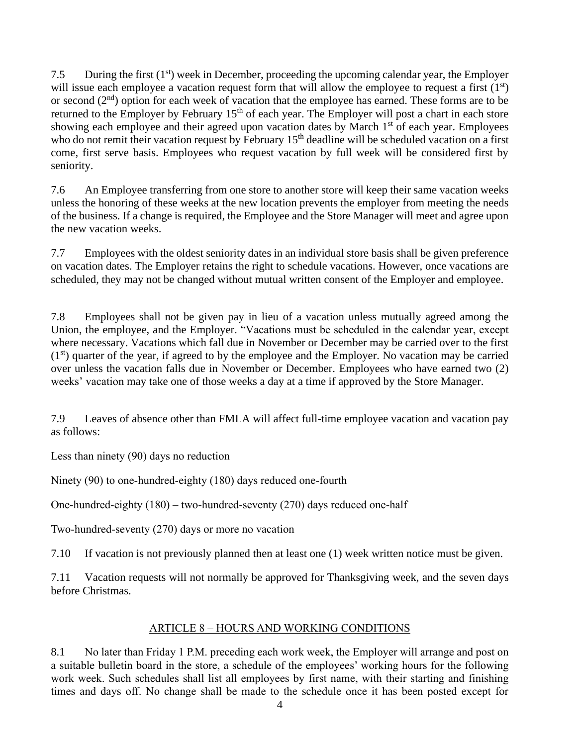7.5 During the first  $(1<sup>st</sup>)$  week in December, proceeding the upcoming calendar year, the Employer will issue each employee a vacation request form that will allow the employee to request a first  $(1<sup>st</sup>)$ or second  $(2<sup>nd</sup>)$  option for each week of vacation that the employee has earned. These forms are to be returned to the Employer by February 15<sup>th</sup> of each year. The Employer will post a chart in each store showing each employee and their agreed upon vacation dates by March 1<sup>st</sup> of each year. Employees who do not remit their vacation request by February 15<sup>th</sup> deadline will be scheduled vacation on a first come, first serve basis. Employees who request vacation by full week will be considered first by seniority.

7.6 An Employee transferring from one store to another store will keep their same vacation weeks unless the honoring of these weeks at the new location prevents the employer from meeting the needs of the business. If a change is required, the Employee and the Store Manager will meet and agree upon the new vacation weeks.

7.7 Employees with the oldest seniority dates in an individual store basis shall be given preference on vacation dates. The Employer retains the right to schedule vacations. However, once vacations are scheduled, they may not be changed without mutual written consent of the Employer and employee.

7.8 Employees shall not be given pay in lieu of a vacation unless mutually agreed among the Union, the employee, and the Employer. "Vacations must be scheduled in the calendar year, except where necessary. Vacations which fall due in November or December may be carried over to the first  $(1<sup>st</sup>)$  quarter of the year, if agreed to by the employee and the Employer. No vacation may be carried over unless the vacation falls due in November or December. Employees who have earned two (2) weeks' vacation may take one of those weeks a day at a time if approved by the Store Manager.

7.9 Leaves of absence other than FMLA will affect full-time employee vacation and vacation pay as follows:

Less than ninety (90) days no reduction

Ninety (90) to one-hundred-eighty (180) days reduced one-fourth

One-hundred-eighty (180) – two-hundred-seventy (270) days reduced one-half

Two-hundred-seventy (270) days or more no vacation

7.10 If vacation is not previously planned then at least one (1) week written notice must be given.

7.11 Vacation requests will not normally be approved for Thanksgiving week, and the seven days before Christmas.

## ARTICLE 8 – HOURS AND WORKING CONDITIONS

<span id="page-6-0"></span>8.1 No later than Friday 1 P.M. preceding each work week, the Employer will arrange and post on a suitable bulletin board in the store, a schedule of the employees' working hours for the following work week. Such schedules shall list all employees by first name, with their starting and finishing times and days off. No change shall be made to the schedule once it has been posted except for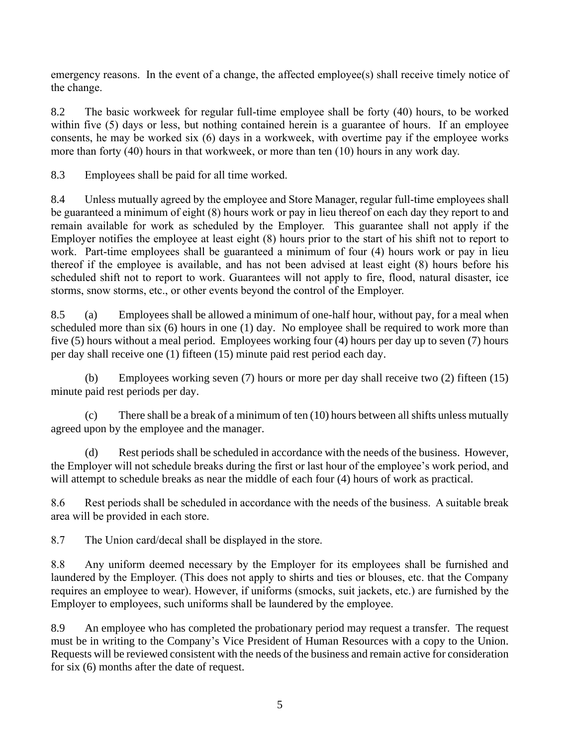emergency reasons. In the event of a change, the affected employee(s) shall receive timely notice of the change.

8.2 The basic workweek for regular full-time employee shall be forty (40) hours, to be worked within five (5) days or less, but nothing contained herein is a guarantee of hours. If an employee consents, he may be worked six (6) days in a workweek, with overtime pay if the employee works more than forty (40) hours in that workweek, or more than ten (10) hours in any work day.

8.3 Employees shall be paid for all time worked.

8.4 Unless mutually agreed by the employee and Store Manager, regular full-time employees shall be guaranteed a minimum of eight (8) hours work or pay in lieu thereof on each day they report to and remain available for work as scheduled by the Employer. This guarantee shall not apply if the Employer notifies the employee at least eight (8) hours prior to the start of his shift not to report to work. Part-time employees shall be guaranteed a minimum of four (4) hours work or pay in lieu thereof if the employee is available, and has not been advised at least eight (8) hours before his scheduled shift not to report to work. Guarantees will not apply to fire, flood, natural disaster, ice storms, snow storms, etc., or other events beyond the control of the Employer.

8.5 (a) Employees shall be allowed a minimum of one-half hour, without pay, for a meal when scheduled more than six (6) hours in one (1) day. No employee shall be required to work more than five (5) hours without a meal period. Employees working four (4) hours per day up to seven (7) hours per day shall receive one (1) fifteen (15) minute paid rest period each day.

(b) Employees working seven (7) hours or more per day shall receive two (2) fifteen (15) minute paid rest periods per day.

(c) There shall be a break of a minimum of ten (10) hours between all shifts unless mutually agreed upon by the employee and the manager.

(d) Rest periods shall be scheduled in accordance with the needs of the business. However, the Employer will not schedule breaks during the first or last hour of the employee's work period, and will attempt to schedule breaks as near the middle of each four  $(4)$  hours of work as practical.

8.6 Rest periods shall be scheduled in accordance with the needs of the business. A suitable break area will be provided in each store.

8.7 The Union card/decal shall be displayed in the store.

8.8 Any uniform deemed necessary by the Employer for its employees shall be furnished and laundered by the Employer. (This does not apply to shirts and ties or blouses, etc. that the Company requires an employee to wear). However, if uniforms (smocks, suit jackets, etc.) are furnished by the Employer to employees, such uniforms shall be laundered by the employee.

8.9 An employee who has completed the probationary period may request a transfer. The request must be in writing to the Company's Vice President of Human Resources with a copy to the Union. Requests will be reviewed consistent with the needs of the business and remain active for consideration for six (6) months after the date of request.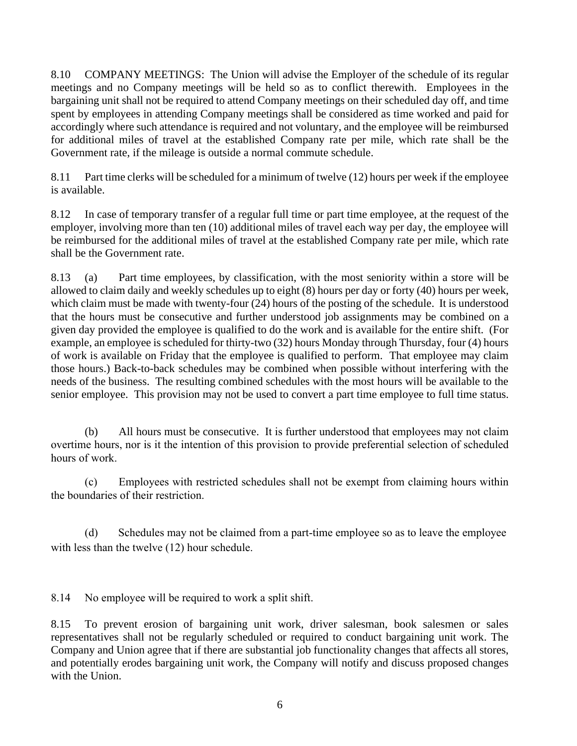8.10 COMPANY MEETINGS: The Union will advise the Employer of the schedule of its regular meetings and no Company meetings will be held so as to conflict therewith. Employees in the bargaining unit shall not be required to attend Company meetings on their scheduled day off, and time spent by employees in attending Company meetings shall be considered as time worked and paid for accordingly where such attendance is required and not voluntary, and the employee will be reimbursed for additional miles of travel at the established Company rate per mile, which rate shall be the Government rate, if the mileage is outside a normal commute schedule.

8.11 Part time clerks will be scheduled for a minimum of twelve (12) hours per week if the employee is available.

8.12 In case of temporary transfer of a regular full time or part time employee, at the request of the employer, involving more than ten (10) additional miles of travel each way per day, the employee will be reimbursed for the additional miles of travel at the established Company rate per mile, which rate shall be the Government rate.

8.13 (a) Part time employees, by classification, with the most seniority within a store will be allowed to claim daily and weekly schedules up to eight (8) hours per day or forty (40) hours per week, which claim must be made with twenty-four (24) hours of the posting of the schedule. It is understood that the hours must be consecutive and further understood job assignments may be combined on a given day provided the employee is qualified to do the work and is available for the entire shift. (For example, an employee is scheduled for thirty-two (32) hours Monday through Thursday, four (4) hours of work is available on Friday that the employee is qualified to perform. That employee may claim those hours.) Back-to-back schedules may be combined when possible without interfering with the needs of the business. The resulting combined schedules with the most hours will be available to the senior employee. This provision may not be used to convert a part time employee to full time status.

(b) All hours must be consecutive. It is further understood that employees may not claim overtime hours, nor is it the intention of this provision to provide preferential selection of scheduled hours of work.

(c) Employees with restricted schedules shall not be exempt from claiming hours within the boundaries of their restriction.

 (d) Schedules may not be claimed from a part-time employee so as to leave the employee with less than the twelve (12) hour schedule.

8.14 No employee will be required to work a split shift.

8.15 To prevent erosion of bargaining unit work, driver salesman, book salesmen or sales representatives shall not be regularly scheduled or required to conduct bargaining unit work. The Company and Union agree that if there are substantial job functionality changes that affects all stores, and potentially erodes bargaining unit work, the Company will notify and discuss proposed changes with the Union.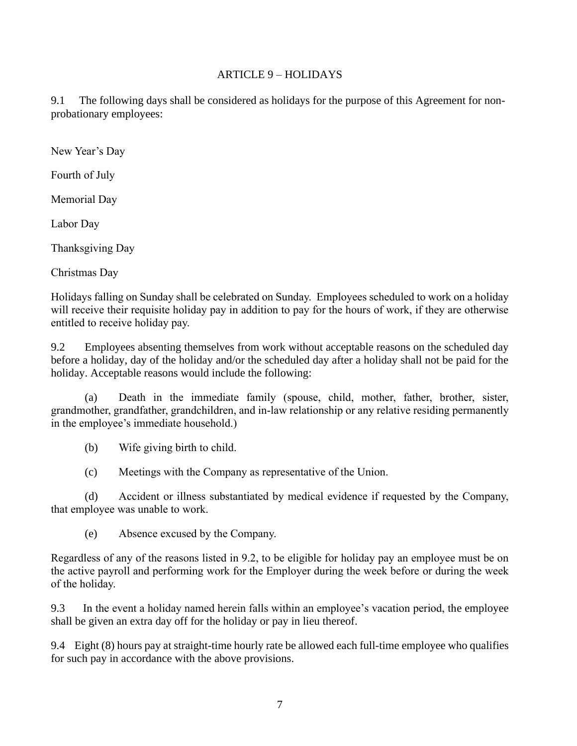#### ARTICLE 9 – HOLIDAYS

<span id="page-9-0"></span>9.1 The following days shall be considered as holidays for the purpose of this Agreement for nonprobationary employees:

New Year's Day

Fourth of July

Memorial Day

Labor Day

Thanksgiving Day

Christmas Day

Holidays falling on Sunday shall be celebrated on Sunday. Employees scheduled to work on a holiday will receive their requisite holiday pay in addition to pay for the hours of work, if they are otherwise entitled to receive holiday pay.

9.2 Employees absenting themselves from work without acceptable reasons on the scheduled day before a holiday, day of the holiday and/or the scheduled day after a holiday shall not be paid for the holiday. Acceptable reasons would include the following:

(a) Death in the immediate family (spouse, child, mother, father, brother, sister, grandmother, grandfather, grandchildren, and in-law relationship or any relative residing permanently in the employee's immediate household.)

(b) Wife giving birth to child.

(c) Meetings with the Company as representative of the Union.

(d) Accident or illness substantiated by medical evidence if requested by the Company, that employee was unable to work.

(e) Absence excused by the Company.

Regardless of any of the reasons listed in 9.2, to be eligible for holiday pay an employee must be on the active payroll and performing work for the Employer during the week before or during the week of the holiday.

9.3 In the event a holiday named herein falls within an employee's vacation period, the employee shall be given an extra day off for the holiday or pay in lieu thereof.

9.4 Eight (8) hours pay at straight-time hourly rate be allowed each full-time employee who qualifies for such pay in accordance with the above provisions.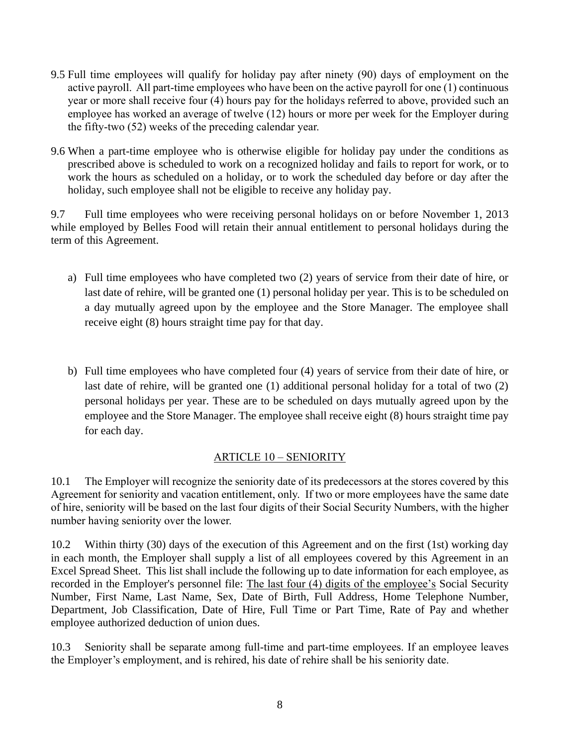- 9.5 Full time employees will qualify for holiday pay after ninety (90) days of employment on the active payroll. All part-time employees who have been on the active payroll for one (1) continuous year or more shall receive four (4) hours pay for the holidays referred to above, provided such an employee has worked an average of twelve (12) hours or more per week for the Employer during the fifty-two (52) weeks of the preceding calendar year.
- 9.6 When a part-time employee who is otherwise eligible for holiday pay under the conditions as prescribed above is scheduled to work on a recognized holiday and fails to report for work, or to work the hours as scheduled on a holiday, or to work the scheduled day before or day after the holiday, such employee shall not be eligible to receive any holiday pay.

9.7 Full time employees who were receiving personal holidays on or before November 1, 2013 while employed by Belles Food will retain their annual entitlement to personal holidays during the term of this Agreement.

- a) Full time employees who have completed two (2) years of service from their date of hire, or last date of rehire, will be granted one (1) personal holiday per year. This is to be scheduled on a day mutually agreed upon by the employee and the Store Manager. The employee shall receive eight (8) hours straight time pay for that day.
- b) Full time employees who have completed four (4) years of service from their date of hire, or last date of rehire, will be granted one (1) additional personal holiday for a total of two (2) personal holidays per year. These are to be scheduled on days mutually agreed upon by the employee and the Store Manager. The employee shall receive eight (8) hours straight time pay for each day.

## ARTICLE 10 – SENIORITY

<span id="page-10-0"></span>10.1 The Employer will recognize the seniority date of its predecessors at the stores covered by this Agreement for seniority and vacation entitlement, only. If two or more employees have the same date of hire, seniority will be based on the last four digits of their Social Security Numbers, with the higher number having seniority over the lower.

10.2 Within thirty (30) days of the execution of this Agreement and on the first (1st) working day in each month, the Employer shall supply a list of all employees covered by this Agreement in an Excel Spread Sheet. This list shall include the following up to date information for each employee, as recorded in the Employer's personnel file: The last four (4) digits of the employee's Social Security Number, First Name, Last Name, Sex, Date of Birth, Full Address, Home Telephone Number, Department, Job Classification, Date of Hire, Full Time or Part Time, Rate of Pay and whether employee authorized deduction of union dues.

10.3 Seniority shall be separate among full-time and part-time employees. If an employee leaves the Employer's employment, and is rehired, his date of rehire shall be his seniority date.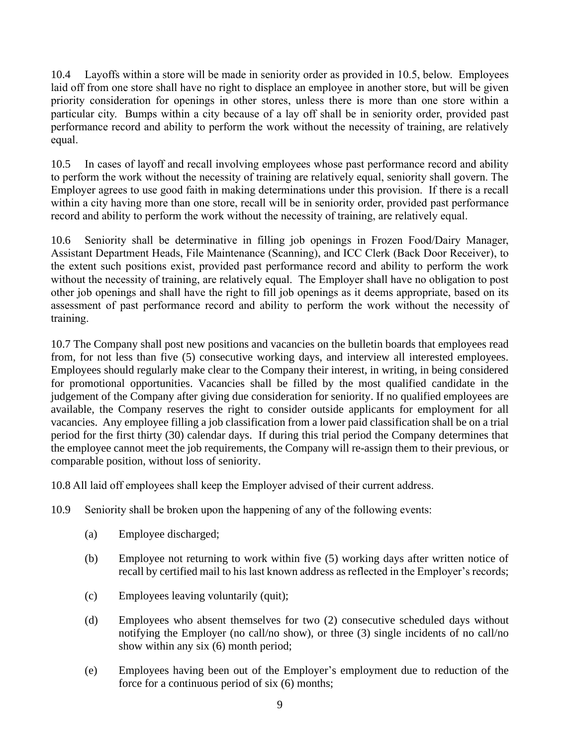10.4 Layoffs within a store will be made in seniority order as provided in 10.5, below. Employees laid off from one store shall have no right to displace an employee in another store, but will be given priority consideration for openings in other stores, unless there is more than one store within a particular city. Bumps within a city because of a lay off shall be in seniority order, provided past performance record and ability to perform the work without the necessity of training, are relatively equal.

10.5 In cases of layoff and recall involving employees whose past performance record and ability to perform the work without the necessity of training are relatively equal, seniority shall govern. The Employer agrees to use good faith in making determinations under this provision. If there is a recall within a city having more than one store, recall will be in seniority order, provided past performance record and ability to perform the work without the necessity of training, are relatively equal.

10.6 Seniority shall be determinative in filling job openings in Frozen Food/Dairy Manager, Assistant Department Heads, File Maintenance (Scanning), and ICC Clerk (Back Door Receiver), to the extent such positions exist, provided past performance record and ability to perform the work without the necessity of training, are relatively equal. The Employer shall have no obligation to post other job openings and shall have the right to fill job openings as it deems appropriate, based on its assessment of past performance record and ability to perform the work without the necessity of training.

10.7 The Company shall post new positions and vacancies on the bulletin boards that employees read from, for not less than five (5) consecutive working days, and interview all interested employees. Employees should regularly make clear to the Company their interest, in writing, in being considered for promotional opportunities. Vacancies shall be filled by the most qualified candidate in the judgement of the Company after giving due consideration for seniority. If no qualified employees are available, the Company reserves the right to consider outside applicants for employment for all vacancies. Any employee filling a job classification from a lower paid classification shall be on a trial period for the first thirty (30) calendar days. If during this trial period the Company determines that the employee cannot meet the job requirements, the Company will re-assign them to their previous, or comparable position, without loss of seniority.

10.8 All laid off employees shall keep the Employer advised of their current address.

- 10.9 Seniority shall be broken upon the happening of any of the following events:
	- (a) Employee discharged;
	- (b) Employee not returning to work within five (5) working days after written notice of recall by certified mail to his last known address as reflected in the Employer's records;
	- (c) Employees leaving voluntarily (quit);
	- (d) Employees who absent themselves for two (2) consecutive scheduled days without notifying the Employer (no call/no show), or three (3) single incidents of no call/no show within any six (6) month period;
	- (e) Employees having been out of the Employer's employment due to reduction of the force for a continuous period of six (6) months;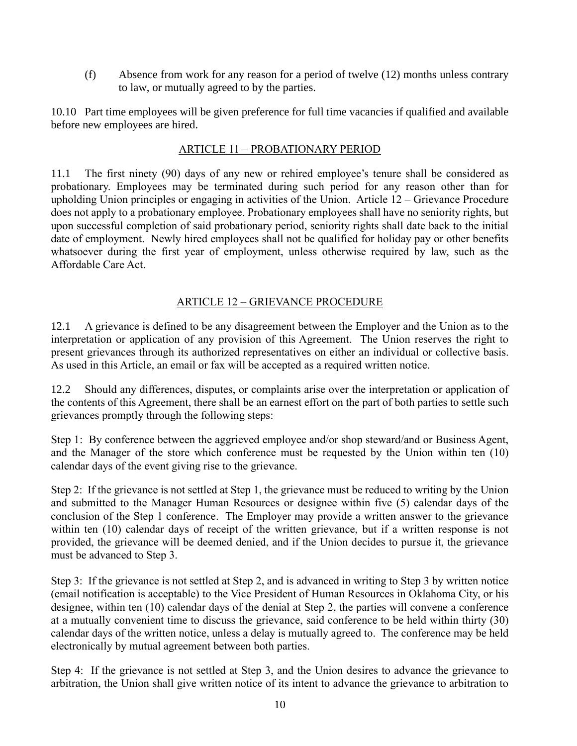(f) Absence from work for any reason for a period of twelve (12) months unless contrary to law, or mutually agreed to by the parties.

<span id="page-12-0"></span>10.10 Part time employees will be given preference for full time vacancies if qualified and available before new employees are hired.

### ARTICLE 11 – PROBATIONARY PERIOD

11.1 The first ninety (90) days of any new or rehired employee's tenure shall be considered as probationary. Employees may be terminated during such period for any reason other than for upholding Union principles or engaging in activities of the Union. Article 12 – Grievance Procedure does not apply to a probationary employee. Probationary employees shall have no seniority rights, but upon successful completion of said probationary period, seniority rights shall date back to the initial date of employment. Newly hired employees shall not be qualified for holiday pay or other benefits whatsoever during the first year of employment, unless otherwise required by law, such as the Affordable Care Act.

#### ARTICLE 12 – GRIEVANCE PROCEDURE

<span id="page-12-1"></span>12.1 A grievance is defined to be any disagreement between the Employer and the Union as to the interpretation or application of any provision of this Agreement. The Union reserves the right to present grievances through its authorized representatives on either an individual or collective basis. As used in this Article, an email or fax will be accepted as a required written notice.

12.2 Should any differences, disputes, or complaints arise over the interpretation or application of the contents of this Agreement, there shall be an earnest effort on the part of both parties to settle such grievances promptly through the following steps:

Step 1: By conference between the aggrieved employee and/or shop steward/and or Business Agent, and the Manager of the store which conference must be requested by the Union within ten (10) calendar days of the event giving rise to the grievance.

Step 2: If the grievance is not settled at Step 1, the grievance must be reduced to writing by the Union and submitted to the Manager Human Resources or designee within five (5) calendar days of the conclusion of the Step 1 conference. The Employer may provide a written answer to the grievance within ten (10) calendar days of receipt of the written grievance, but if a written response is not provided, the grievance will be deemed denied, and if the Union decides to pursue it, the grievance must be advanced to Step 3.

Step 3: If the grievance is not settled at Step 2, and is advanced in writing to Step 3 by written notice (email notification is acceptable) to the Vice President of Human Resources in Oklahoma City, or his designee, within ten (10) calendar days of the denial at Step 2, the parties will convene a conference at a mutually convenient time to discuss the grievance, said conference to be held within thirty (30) calendar days of the written notice, unless a delay is mutually agreed to. The conference may be held electronically by mutual agreement between both parties.

Step 4: If the grievance is not settled at Step 3, and the Union desires to advance the grievance to arbitration, the Union shall give written notice of its intent to advance the grievance to arbitration to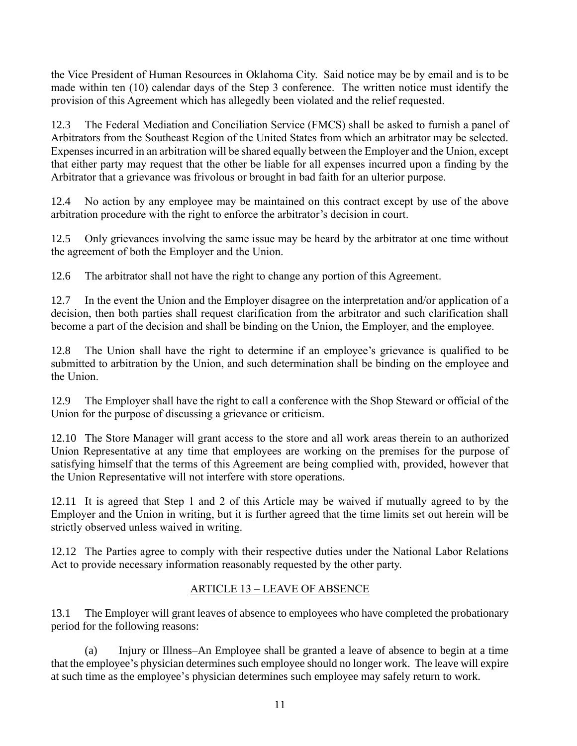the Vice President of Human Resources in Oklahoma City. Said notice may be by email and is to be made within ten (10) calendar days of the Step 3 conference. The written notice must identify the provision of this Agreement which has allegedly been violated and the relief requested.

12.3 The Federal Mediation and Conciliation Service (FMCS) shall be asked to furnish a panel of Arbitrators from the Southeast Region of the United States from which an arbitrator may be selected. Expenses incurred in an arbitration will be shared equally between the Employer and the Union, except that either party may request that the other be liable for all expenses incurred upon a finding by the Arbitrator that a grievance was frivolous or brought in bad faith for an ulterior purpose.

12.4 No action by any employee may be maintained on this contract except by use of the above arbitration procedure with the right to enforce the arbitrator's decision in court.

12.5 Only grievances involving the same issue may be heard by the arbitrator at one time without the agreement of both the Employer and the Union.

12.6 The arbitrator shall not have the right to change any portion of this Agreement.

12.7 In the event the Union and the Employer disagree on the interpretation and/or application of a decision, then both parties shall request clarification from the arbitrator and such clarification shall become a part of the decision and shall be binding on the Union, the Employer, and the employee.

12.8 The Union shall have the right to determine if an employee's grievance is qualified to be submitted to arbitration by the Union, and such determination shall be binding on the employee and the Union.

12.9 The Employer shall have the right to call a conference with the Shop Steward or official of the Union for the purpose of discussing a grievance or criticism.

12.10 The Store Manager will grant access to the store and all work areas therein to an authorized Union Representative at any time that employees are working on the premises for the purpose of satisfying himself that the terms of this Agreement are being complied with, provided, however that the Union Representative will not interfere with store operations.

12.11 It is agreed that Step 1 and 2 of this Article may be waived if mutually agreed to by the Employer and the Union in writing, but it is further agreed that the time limits set out herein will be strictly observed unless waived in writing.

<span id="page-13-0"></span>12.12 The Parties agree to comply with their respective duties under the National Labor Relations Act to provide necessary information reasonably requested by the other party.

## ARTICLE 13 – LEAVE OF ABSENCE

13.1 The Employer will grant leaves of absence to employees who have completed the probationary period for the following reasons:

(a) Injury or Illness–An Employee shall be granted a leave of absence to begin at a time that the employee's physician determines such employee should no longer work. The leave will expire at such time as the employee's physician determines such employee may safely return to work.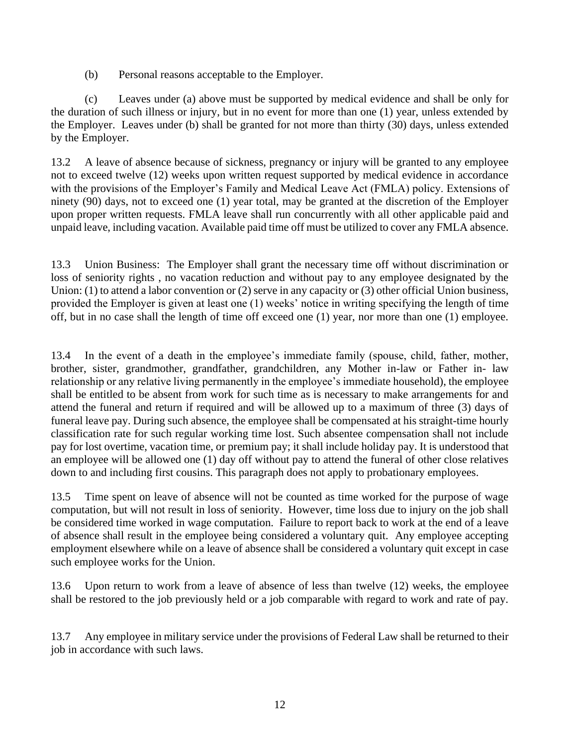(b) Personal reasons acceptable to the Employer.

(c) Leaves under (a) above must be supported by medical evidence and shall be only for the duration of such illness or injury, but in no event for more than one (1) year, unless extended by the Employer. Leaves under (b) shall be granted for not more than thirty (30) days, unless extended by the Employer.

13.2 A leave of absence because of sickness, pregnancy or injury will be granted to any employee not to exceed twelve (12) weeks upon written request supported by medical evidence in accordance with the provisions of the Employer's Family and Medical Leave Act (FMLA) policy. Extensions of ninety (90) days, not to exceed one (1) year total, may be granted at the discretion of the Employer upon proper written requests. FMLA leave shall run concurrently with all other applicable paid and unpaid leave, including vacation. Available paid time off must be utilized to cover any FMLA absence.

13.3 Union Business: The Employer shall grant the necessary time off without discrimination or loss of seniority rights , no vacation reduction and without pay to any employee designated by the Union: (1) to attend a labor convention or (2) serve in any capacity or (3) other official Union business, provided the Employer is given at least one (1) weeks' notice in writing specifying the length of time off, but in no case shall the length of time off exceed one (1) year, nor more than one (1) employee.

13.4 In the event of a death in the employee's immediate family (spouse, child, father, mother, brother, sister, grandmother, grandfather, grandchildren, any Mother in-law or Father in- law relationship or any relative living permanently in the employee's immediate household), the employee shall be entitled to be absent from work for such time as is necessary to make arrangements for and attend the funeral and return if required and will be allowed up to a maximum of three (3) days of funeral leave pay. During such absence, the employee shall be compensated at his straight-time hourly classification rate for such regular working time lost. Such absentee compensation shall not include pay for lost overtime, vacation time, or premium pay; it shall include holiday pay. It is understood that an employee will be allowed one (1) day off without pay to attend the funeral of other close relatives down to and including first cousins. This paragraph does not apply to probationary employees.

13.5 Time spent on leave of absence will not be counted as time worked for the purpose of wage computation, but will not result in loss of seniority. However, time loss due to injury on the job shall be considered time worked in wage computation. Failure to report back to work at the end of a leave of absence shall result in the employee being considered a voluntary quit. Any employee accepting employment elsewhere while on a leave of absence shall be considered a voluntary quit except in case such employee works for the Union.

13.6 Upon return to work from a leave of absence of less than twelve (12) weeks, the employee shall be restored to the job previously held or a job comparable with regard to work and rate of pay.

13.7 Any employee in military service under the provisions of Federal Law shall be returned to their job in accordance with such laws.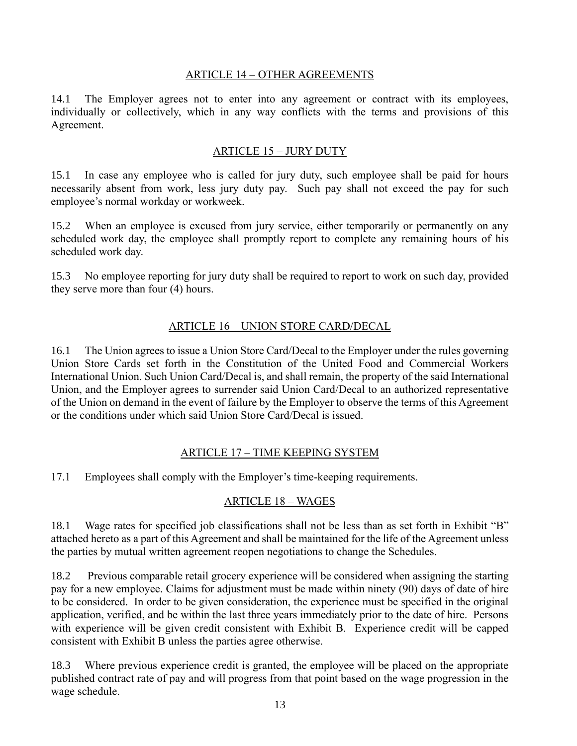#### ARTICLE 14 – OTHER AGREEMENTS

<span id="page-15-0"></span>14.1 The Employer agrees not to enter into any agreement or contract with its employees, individually or collectively, which in any way conflicts with the terms and provisions of this Agreement.

#### ARTICLE 15 – JURY DUTY

15.1 In case any employee who is called for jury duty, such employee shall be paid for hours necessarily absent from work, less jury duty pay. Such pay shall not exceed the pay for such employee's normal workday or workweek.

15.2 When an employee is excused from jury service, either temporarily or permanently on any scheduled work day, the employee shall promptly report to complete any remaining hours of his scheduled work day.

15.3 No employee reporting for jury duty shall be required to report to work on such day, provided they serve more than four (4) hours.

### ARTICLE 16 – UNION STORE CARD/DECAL

<span id="page-15-1"></span>16.1 The Union agrees to issue a Union Store Card/Decal to the Employer under the rules governing Union Store Cards set forth in the Constitution of the United Food and Commercial Workers International Union. Such Union Card/Decal is, and shall remain, the property of the said International Union, and the Employer agrees to surrender said Union Card/Decal to an authorized representative of the Union on demand in the event of failure by the Employer to observe the terms of this Agreement or the conditions under which said Union Store Card/Decal is issued.

### ARTICLE 17 – TIME KEEPING SYSTEM

<span id="page-15-3"></span><span id="page-15-2"></span>17.1 Employees shall comply with the Employer's time-keeping requirements.

### ARTICLE 18 – WAGES

18.1 Wage rates for specified job classifications shall not be less than as set forth in Exhibit "B" attached hereto as a part of this Agreement and shall be maintained for the life of the Agreement unless the parties by mutual written agreement reopen negotiations to change the Schedules.

18.2 Previous comparable retail grocery experience will be considered when assigning the starting pay for a new employee. Claims for adjustment must be made within ninety (90) days of date of hire to be considered. In order to be given consideration, the experience must be specified in the original application, verified, and be within the last three years immediately prior to the date of hire. Persons with experience will be given credit consistent with Exhibit B. Experience credit will be capped consistent with Exhibit B unless the parties agree otherwise.

18.3 Where previous experience credit is granted, the employee will be placed on the appropriate published contract rate of pay and will progress from that point based on the wage progression in the wage schedule.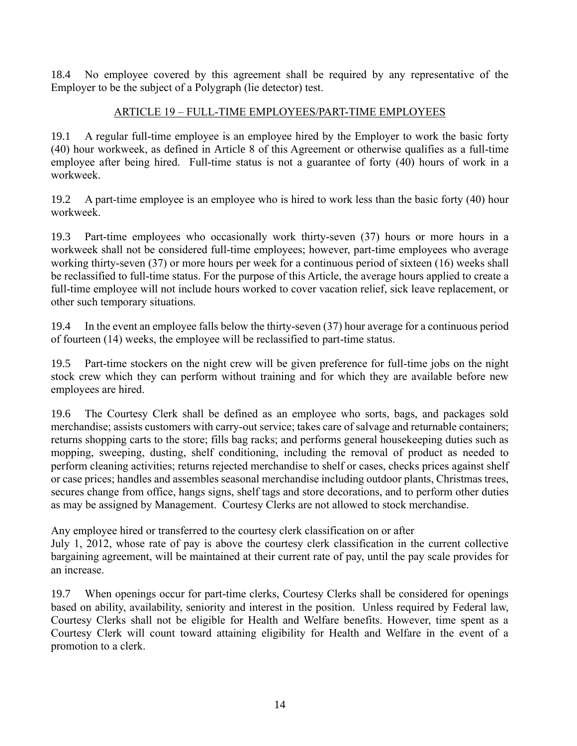<span id="page-16-0"></span>18.4 No employee covered by this agreement shall be required by any representative of the Employer to be the subject of a Polygraph (lie detector) test.

## ARTICLE 19 – FULL-TIME EMPLOYEES/PART-TIME EMPLOYEES

19.1 A regular full-time employee is an employee hired by the Employer to work the basic forty (40) hour workweek, as defined in Article 8 of this Agreement or otherwise qualifies as a full-time employee after being hired. Full-time status is not a guarantee of forty (40) hours of work in a workweek.

19.2 A part-time employee is an employee who is hired to work less than the basic forty (40) hour workweek.

19.3 Part-time employees who occasionally work thirty-seven (37) hours or more hours in a workweek shall not be considered full-time employees; however, part-time employees who average working thirty-seven (37) or more hours per week for a continuous period of sixteen (16) weeks shall be reclassified to full-time status. For the purpose of this Article, the average hours applied to create a full-time employee will not include hours worked to cover vacation relief, sick leave replacement, or other such temporary situations.

19.4 In the event an employee falls below the thirty-seven (37) hour average for a continuous period of fourteen (14) weeks, the employee will be reclassified to part-time status.

19.5 Part-time stockers on the night crew will be given preference for full-time jobs on the night stock crew which they can perform without training and for which they are available before new employees are hired.

19.6 The Courtesy Clerk shall be defined as an employee who sorts, bags, and packages sold merchandise; assists customers with carry-out service; takes care of salvage and returnable containers; returns shopping carts to the store; fills bag racks; and performs general housekeeping duties such as mopping, sweeping, dusting, shelf conditioning, including the removal of product as needed to perform cleaning activities; returns rejected merchandise to shelf or cases, checks prices against shelf or case prices; handles and assembles seasonal merchandise including outdoor plants, Christmas trees, secures change from office, hangs signs, shelf tags and store decorations, and to perform other duties as may be assigned by Management. Courtesy Clerks are not allowed to stock merchandise.

Any employee hired or transferred to the courtesy clerk classification on or after July 1, 2012, whose rate of pay is above the courtesy clerk classification in the current collective bargaining agreement, will be maintained at their current rate of pay, until the pay scale provides for an increase.

19.7 When openings occur for part-time clerks, Courtesy Clerks shall be considered for openings based on ability, availability, seniority and interest in the position. Unless required by Federal law, Courtesy Clerks shall not be eligible for Health and Welfare benefits. However, time spent as a Courtesy Clerk will count toward attaining eligibility for Health and Welfare in the event of a promotion to a clerk.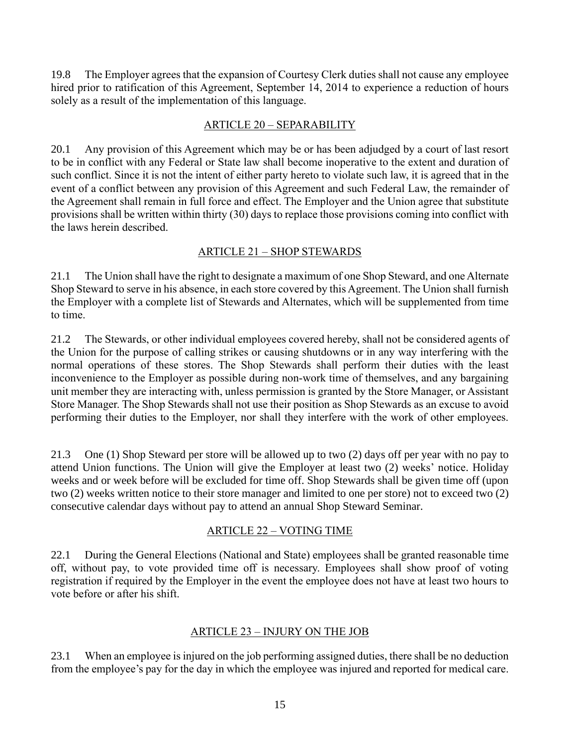19.8 The Employer agrees that the expansion of Courtesy Clerk duties shall not cause any employee hired prior to ratification of this Agreement, September 14, 2014 to experience a reduction of hours solely as a result of the implementation of this language.

### ARTICLE 20 – SEPARABILITY

<span id="page-17-0"></span>20.1 Any provision of this Agreement which may be or has been adjudged by a court of last resort to be in conflict with any Federal or State law shall become inoperative to the extent and duration of such conflict. Since it is not the intent of either party hereto to violate such law, it is agreed that in the event of a conflict between any provision of this Agreement and such Federal Law, the remainder of the Agreement shall remain in full force and effect. The Employer and the Union agree that substitute provisions shall be written within thirty (30) days to replace those provisions coming into conflict with the laws herein described.

## ARTICLE 21 – SHOP STEWARDS

<span id="page-17-1"></span>21.1 The Union shall have the right to designate a maximum of one Shop Steward, and one Alternate Shop Steward to serve in his absence, in each store covered by this Agreement. The Union shall furnish the Employer with a complete list of Stewards and Alternates, which will be supplemented from time to time.

21.2 The Stewards, or other individual employees covered hereby, shall not be considered agents of the Union for the purpose of calling strikes or causing shutdowns or in any way interfering with the normal operations of these stores. The Shop Stewards shall perform their duties with the least inconvenience to the Employer as possible during non-work time of themselves, and any bargaining unit member they are interacting with, unless permission is granted by the Store Manager, or Assistant Store Manager. The Shop Stewards shall not use their position as Shop Stewards as an excuse to avoid performing their duties to the Employer, nor shall they interfere with the work of other employees.

21.3 One (1) Shop Steward per store will be allowed up to two (2) days off per year with no pay to attend Union functions. The Union will give the Employer at least two (2) weeks' notice. Holiday weeks and or week before will be excluded for time off. Shop Stewards shall be given time off (upon two (2) weeks written notice to their store manager and limited to one per store) not to exceed two (2) consecutive calendar days without pay to attend an annual Shop Steward Seminar.

### ARTICLE 22 – VOTING TIME

<span id="page-17-2"></span>22.1 During the General Elections (National and State) employees shall be granted reasonable time off, without pay, to vote provided time off is necessary. Employees shall show proof of voting registration if required by the Employer in the event the employee does not have at least two hours to vote before or after his shift.

### ARTICLE 23 – INJURY ON THE JOB

<span id="page-17-3"></span>23.1 When an employee is injured on the job performing assigned duties, there shall be no deduction from the employee's pay for the day in which the employee was injured and reported for medical care.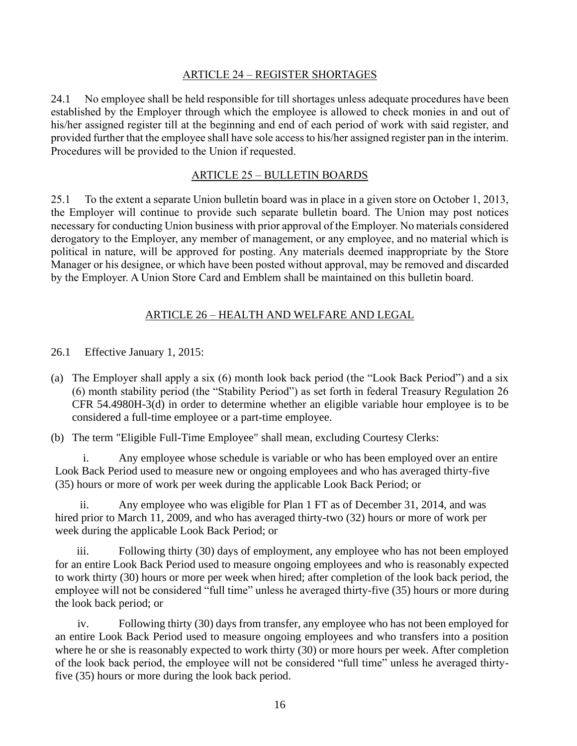#### ARTICLE 24 – REGISTER SHORTAGES

<span id="page-18-0"></span>24.1 No employee shall be held responsible for till shortages unless adequate procedures have been established by the Employer through which the employee is allowed to check monies in and out of his/her assigned register till at the beginning and end of each period of work with said register, and provided further that the employee shall have sole access to his/her assigned register pan in the interim. Procedures will be provided to the Union if requested.

#### ARTICLE 25 – BULLETIN BOARDS

<span id="page-18-1"></span>25.1 To the extent a separate Union bulletin board was in place in a given store on October 1, 2013, the Employer will continue to provide such separate bulletin board. The Union may post notices necessary for conducting Union business with prior approval of the Employer. No materials considered derogatory to the Employer, any member of management, or any employee, and no material which is political in nature, will be approved for posting. Any materials deemed inappropriate by the Store Manager or his designee, or which have been posted without approval, may be removed and discarded by the Employer. A Union Store Card and Emblem shall be maintained on this bulletin board.

### ARTICLE 26 – HEALTH AND WELFARE AND LEGAL

<span id="page-18-2"></span>26.1 Effective January 1, 2015:

(a) The Employer shall apply a six (6) month look back period (the "Look Back Period") and a six (6) month stability period (the "Stability Period") as set forth in federal Treasury Regulation 26 CFR 54.4980H-3(d) in order to determine whether an eligible variable hour employee is to be considered a full-time employee or a part-time employee.

(b) The term "Eligible Full-Time Employee" shall mean, excluding Courtesy Clerks:

i. Any employee whose schedule is variable or who has been employed over an entire Look Back Period used to measure new or ongoing employees and who has averaged thirty-five (35) hours or more of work per week during the applicable Look Back Period; or

ii. Any employee who was eligible for Plan 1 FT as of December 31, 2014, and was hired prior to March 11, 2009, and who has averaged thirty-two (32) hours or more of work per week during the applicable Look Back Period; or

iii. Following thirty (30) days of employment, any employee who has not been employed for an entire Look Back Period used to measure ongoing employees and who is reasonably expected to work thirty (30) hours or more per week when hired; after completion of the look back period, the employee will not be considered "full time" unless he averaged thirty-five (35) hours or more during the look back period; or

iv. Following thirty (30) days from transfer, any employee who has not been employed for an entire Look Back Period used to measure ongoing employees and who transfers into a position where he or she is reasonably expected to work thirty (30) or more hours per week. After completion of the look back period, the employee will not be considered "full time" unless he averaged thirtyfive (35) hours or more during the look back period.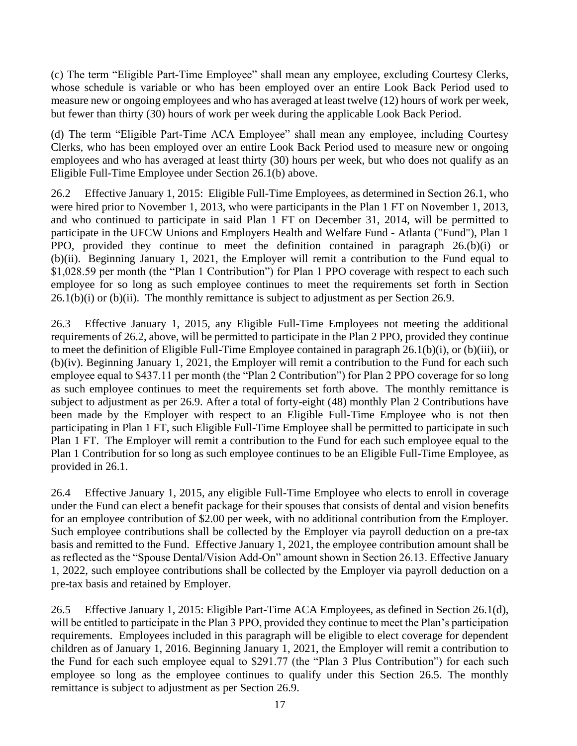(c) The term "Eligible Part-Time Employee" shall mean any employee, excluding Courtesy Clerks, whose schedule is variable or who has been employed over an entire Look Back Period used to measure new or ongoing employees and who has averaged at least twelve (12) hours of work per week, but fewer than thirty (30) hours of work per week during the applicable Look Back Period.

(d) The term "Eligible Part-Time ACA Employee" shall mean any employee, including Courtesy Clerks, who has been employed over an entire Look Back Period used to measure new or ongoing employees and who has averaged at least thirty (30) hours per week, but who does not qualify as an Eligible Full-Time Employee under Section 26.1(b) above.

26.2 Effective January 1, 2015: Eligible Full-Time Employees, as determined in Section 26.1, who were hired prior to November 1, 2013, who were participants in the Plan 1 FT on November 1, 2013, and who continued to participate in said Plan 1 FT on December 31, 2014, will be permitted to participate in the UFCW Unions and Employers Health and Welfare Fund - Atlanta ("Fund"), Plan 1 PPO, provided they continue to meet the definition contained in paragraph 26.(b)(i) or (b)(ii). Beginning January 1, 2021, the Employer will remit a contribution to the Fund equal to \$1,028.59 per month (the "Plan 1 Contribution") for Plan 1 PPO coverage with respect to each such employee for so long as such employee continues to meet the requirements set forth in Section 26.1(b)(i) or (b)(ii). The monthly remittance is subject to adjustment as per Section 26.9.

26.3 Effective January 1, 2015, any Eligible Full-Time Employees not meeting the additional requirements of 26.2, above, will be permitted to participate in the Plan 2 PPO, provided they continue to meet the definition of Eligible Full-Time Employee contained in paragraph 26.1(b)(i), or (b)(iii), or (b)(iv). Beginning January 1, 2021, the Employer will remit a contribution to the Fund for each such employee equal to \$437.11 per month (the "Plan 2 Contribution") for Plan 2 PPO coverage for so long as such employee continues to meet the requirements set forth above. The monthly remittance is subject to adjustment as per 26.9. After a total of forty-eight (48) monthly Plan 2 Contributions have been made by the Employer with respect to an Eligible Full-Time Employee who is not then participating in Plan 1 FT, such Eligible Full-Time Employee shall be permitted to participate in such Plan 1 FT. The Employer will remit a contribution to the Fund for each such employee equal to the Plan 1 Contribution for so long as such employee continues to be an Eligible Full-Time Employee, as provided in 26.1.

26.4 Effective January 1, 2015, any eligible Full-Time Employee who elects to enroll in coverage under the Fund can elect a benefit package for their spouses that consists of dental and vision benefits for an employee contribution of \$2.00 per week, with no additional contribution from the Employer. Such employee contributions shall be collected by the Employer via payroll deduction on a pre-tax basis and remitted to the Fund. Effective January 1, 2021, the employee contribution amount shall be as reflected as the "Spouse Dental/Vision Add-On" amount shown in Section 26.13. Effective January 1, 2022, such employee contributions shall be collected by the Employer via payroll deduction on a pre-tax basis and retained by Employer.

26.5 Effective January 1, 2015: Eligible Part-Time ACA Employees, as defined in Section 26.1(d), will be entitled to participate in the Plan 3 PPO, provided they continue to meet the Plan's participation requirements. Employees included in this paragraph will be eligible to elect coverage for dependent children as of January 1, 2016. Beginning January 1, 2021, the Employer will remit a contribution to the Fund for each such employee equal to \$291.77 (the "Plan 3 Plus Contribution") for each such employee so long as the employee continues to qualify under this Section 26.5. The monthly remittance is subject to adjustment as per Section 26.9.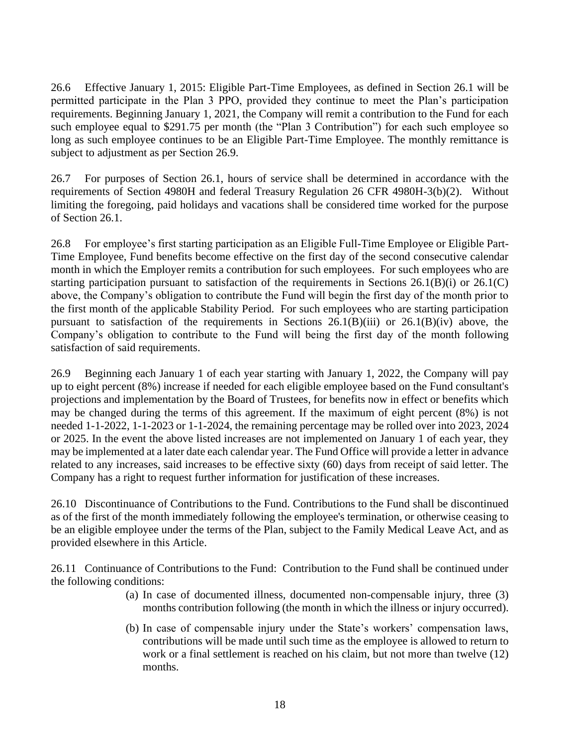26.6 Effective January 1, 2015: Eligible Part-Time Employees, as defined in Section 26.1 will be permitted participate in the Plan 3 PPO, provided they continue to meet the Plan's participation requirements. Beginning January 1, 2021, the Company will remit a contribution to the Fund for each such employee equal to \$291.75 per month (the "Plan 3 Contribution") for each such employee so long as such employee continues to be an Eligible Part-Time Employee. The monthly remittance is subject to adjustment as per Section 26.9.

26.7 For purposes of Section 26.1, hours of service shall be determined in accordance with the requirements of Section 4980H and federal Treasury Regulation 26 CFR 4980H-3(b)(2). Without limiting the foregoing, paid holidays and vacations shall be considered time worked for the purpose of Section 26.1.

26.8 For employee's first starting participation as an Eligible Full-Time Employee or Eligible Part-Time Employee, Fund benefits become effective on the first day of the second consecutive calendar month in which the Employer remits a contribution for such employees. For such employees who are starting participation pursuant to satisfaction of the requirements in Sections  $26.1(B)(i)$  or  $26.1(C)$ above, the Company's obligation to contribute the Fund will begin the first day of the month prior to the first month of the applicable Stability Period. For such employees who are starting participation pursuant to satisfaction of the requirements in Sections  $26.1(B)(iii)$  or  $26.1(B)(iv)$  above, the Company's obligation to contribute to the Fund will being the first day of the month following satisfaction of said requirements.

26.9 Beginning each January 1 of each year starting with January 1, 2022, the Company will pay up to eight percent (8%) increase if needed for each eligible employee based on the Fund consultant's projections and implementation by the Board of Trustees, for benefits now in effect or benefits which may be changed during the terms of this agreement. If the maximum of eight percent (8%) is not needed 1-1-2022, 1-1-2023 or 1-1-2024, the remaining percentage may be rolled over into 2023, 2024 or 2025. In the event the above listed increases are not implemented on January 1 of each year, they may be implemented at a later date each calendar year. The Fund Office will provide a letter in advance related to any increases, said increases to be effective sixty (60) days from receipt of said letter. The Company has a right to request further information for justification of these increases.

26.10 Discontinuance of Contributions to the Fund. Contributions to the Fund shall be discontinued as of the first of the month immediately following the employee's termination, or otherwise ceasing to be an eligible employee under the terms of the Plan, subject to the Family Medical Leave Act, and as provided elsewhere in this Article.

26.11 Continuance of Contributions to the Fund: Contribution to the Fund shall be continued under the following conditions:

- (a) In case of documented illness, documented non-compensable injury, three (3) months contribution following (the month in which the illness or injury occurred).
- (b) In case of compensable injury under the State's workers' compensation laws, contributions will be made until such time as the employee is allowed to return to work or a final settlement is reached on his claim, but not more than twelve (12) months.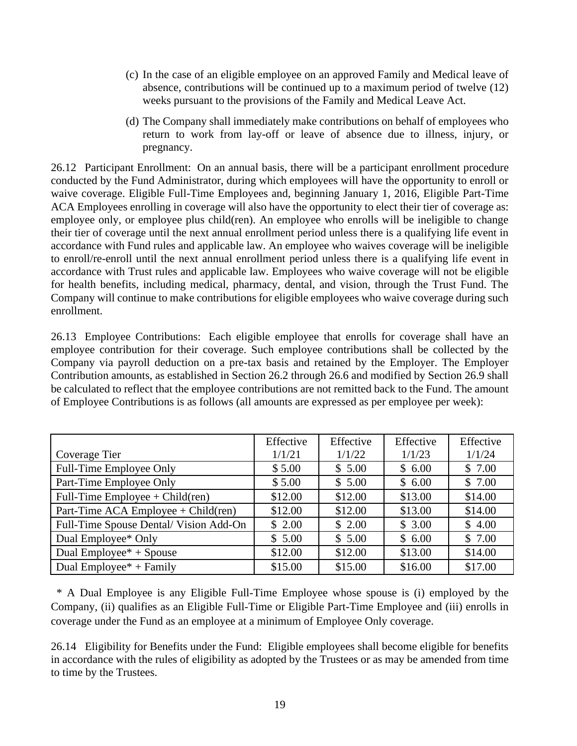- (c) In the case of an eligible employee on an approved Family and Medical leave of absence, contributions will be continued up to a maximum period of twelve (12) weeks pursuant to the provisions of the Family and Medical Leave Act.
- (d) The Company shall immediately make contributions on behalf of employees who return to work from lay-off or leave of absence due to illness, injury, or pregnancy.

26.12 Participant Enrollment: On an annual basis, there will be a participant enrollment procedure conducted by the Fund Administrator, during which employees will have the opportunity to enroll or waive coverage. Eligible Full-Time Employees and, beginning January 1, 2016, Eligible Part-Time ACA Employees enrolling in coverage will also have the opportunity to elect their tier of coverage as: employee only, or employee plus child(ren). An employee who enrolls will be ineligible to change their tier of coverage until the next annual enrollment period unless there is a qualifying life event in accordance with Fund rules and applicable law. An employee who waives coverage will be ineligible to enroll/re-enroll until the next annual enrollment period unless there is a qualifying life event in accordance with Trust rules and applicable law. Employees who waive coverage will not be eligible for health benefits, including medical, pharmacy, dental, and vision, through the Trust Fund. The Company will continue to make contributions for eligible employees who waive coverage during such enrollment.

26.13 Employee Contributions: Each eligible employee that enrolls for coverage shall have an employee contribution for their coverage. Such employee contributions shall be collected by the Company via payroll deduction on a pre-tax basis and retained by the Employer. The Employer Contribution amounts, as established in Section 26.2 through 26.6 and modified by Section 26.9 shall be calculated to reflect that the employee contributions are not remitted back to the Fund. The amount of Employee Contributions is as follows (all amounts are expressed as per employee per week):

|                                                  | Effective | Effective | Effective | Effective |
|--------------------------------------------------|-----------|-----------|-----------|-----------|
| Coverage Tier                                    | 1/1/21    | 1/1/22    | 1/1/23    | 1/1/24    |
| Full-Time Employee Only                          | \$5.00    | \$5.00    | \$6.00    | \$7.00    |
| Part-Time Employee Only                          | \$5.00    | \$5.00    | \$6.00    | \$7.00    |
| Full-Time Employee + Child(ren)                  | \$12.00   | \$12.00   | \$13.00   | \$14.00   |
| Part-Time ACA Employee + Child(ren)              | \$12.00   | \$12.00   | \$13.00   | \$14.00   |
| Full-Time Spouse Dental/Vision Add-On            | \$2.00    | \$2.00    | \$3.00    | \$4.00    |
| Dual Employee* Only                              | \$5.00    | \$5.00    | \$6.00    | \$7.00    |
| Dual Employee $* +$ Spouse                       | \$12.00   | \$12.00   | \$13.00   | \$14.00   |
| Dual Employee <sup><math>*</math></sup> + Family | \$15.00   | \$15.00   | \$16.00   | \$17.00   |

\* A Dual Employee is any Eligible Full-Time Employee whose spouse is (i) employed by the Company, (ii) qualifies as an Eligible Full-Time or Eligible Part-Time Employee and (iii) enrolls in coverage under the Fund as an employee at a minimum of Employee Only coverage.

26.14 Eligibility for Benefits under the Fund: Eligible employees shall become eligible for benefits in accordance with the rules of eligibility as adopted by the Trustees or as may be amended from time to time by the Trustees.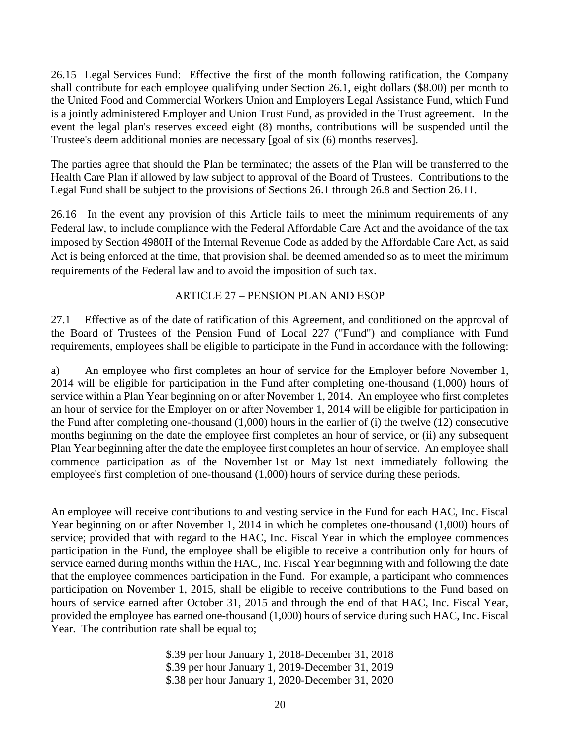26.15 Legal Services Fund: Effective the first of the month following ratification, the Company shall contribute for each employee qualifying under Section 26.1, eight dollars (\$8.00) per month to the United Food and Commercial Workers Union and Employers Legal Assistance Fund, which Fund is a jointly administered Employer and Union Trust Fund, as provided in the Trust agreement. In the event the legal plan's reserves exceed eight (8) months, contributions will be suspended until the Trustee's deem additional monies are necessary [goal of six (6) months reserves].

The parties agree that should the Plan be terminated; the assets of the Plan will be transferred to the Health Care Plan if allowed by law subject to approval of the Board of Trustees. Contributions to the Legal Fund shall be subject to the provisions of Sections 26.1 through 26.8 and Section 26.11.

26.16 In the event any provision of this Article fails to meet the minimum requirements of any Federal law, to include compliance with the Federal Affordable Care Act and the avoidance of the tax imposed by Section 4980H of the Internal Revenue Code as added by the Affordable Care Act, as said Act is being enforced at the time, that provision shall be deemed amended so as to meet the minimum requirements of the Federal law and to avoid the imposition of such tax.

### ARTICLE 27 – PENSION PLAN AND ESOP

<span id="page-22-0"></span>27.1 Effective as of the date of ratification of this Agreement, and conditioned on the approval of the Board of Trustees of the Pension Fund of Local 227 ("Fund") and compliance with Fund requirements, employees shall be eligible to participate in the Fund in accordance with the following:

a) An employee who first completes an hour of service for the Employer before November 1, 2014 will be eligible for participation in the Fund after completing one-thousand (1,000) hours of service within a Plan Year beginning on or after November 1, 2014. An employee who first completes an hour of service for the Employer on or after November 1, 2014 will be eligible for participation in the Fund after completing one-thousand (1,000) hours in the earlier of (i) the twelve (12) consecutive months beginning on the date the employee first completes an hour of service, or (ii) any subsequent Plan Year beginning after the date the employee first completes an hour of service. An employee shall commence participation as of the November 1st or May 1st next immediately following the employee's first completion of one-thousand (1,000) hours of service during these periods.

An employee will receive contributions to and vesting service in the Fund for each HAC, Inc. Fiscal Year beginning on or after November 1, 2014 in which he completes one-thousand (1,000) hours of service; provided that with regard to the HAC, Inc. Fiscal Year in which the employee commences participation in the Fund, the employee shall be eligible to receive a contribution only for hours of service earned during months within the HAC, Inc. Fiscal Year beginning with and following the date that the employee commences participation in the Fund. For example, a participant who commences participation on November 1, 2015, shall be eligible to receive contributions to the Fund based on hours of service earned after October 31, 2015 and through the end of that HAC, Inc. Fiscal Year, provided the employee has earned one-thousand (1,000) hours of service during such HAC, Inc. Fiscal Year. The contribution rate shall be equal to;

> \$.39 per hour January 1, 2018-December 31, 2018 \$.39 per hour January 1, 2019-December 31, 2019 \$.38 per hour January 1, 2020-December 31, 2020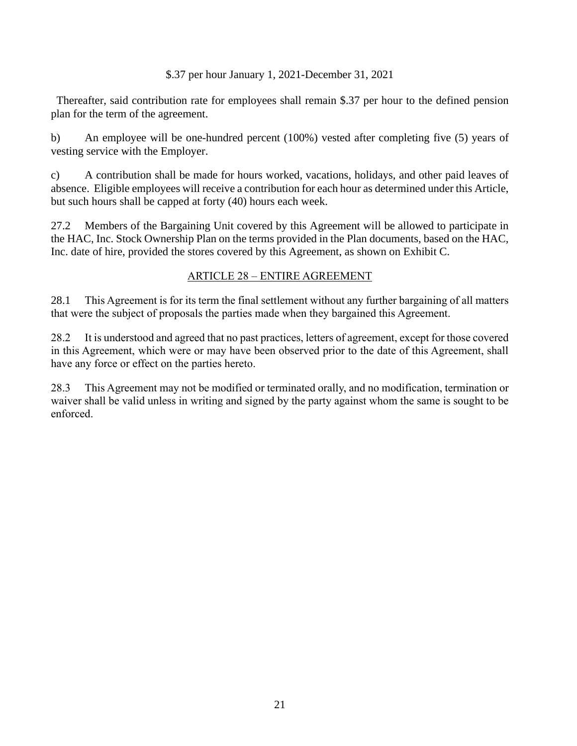#### \$.37 per hour January 1, 2021-December 31, 2021

 Thereafter, said contribution rate for employees shall remain \$.37 per hour to the defined pension plan for the term of the agreement.

b) An employee will be one-hundred percent (100%) vested after completing five (5) years of vesting service with the Employer.

c) A contribution shall be made for hours worked, vacations, holidays, and other paid leaves of absence. Eligible employees will receive a contribution for each hour as determined under this Article, but such hours shall be capped at forty (40) hours each week.

27.2 Members of the Bargaining Unit covered by this Agreement will be allowed to participate in the HAC, Inc. Stock Ownership Plan on the terms provided in the Plan documents, based on the HAC, Inc. date of hire, provided the stores covered by this Agreement, as shown on Exhibit C.

#### ARTICLE 28 – ENTIRE AGREEMENT

<span id="page-23-0"></span>28.1 This Agreement is for its term the final settlement without any further bargaining of all matters that were the subject of proposals the parties made when they bargained this Agreement.

28.2 It is understood and agreed that no past practices, letters of agreement, except for those covered in this Agreement, which were or may have been observed prior to the date of this Agreement, shall have any force or effect on the parties hereto.

28.3 This Agreement may not be modified or terminated orally, and no modification, termination or waiver shall be valid unless in writing and signed by the party against whom the same is sought to be enforced.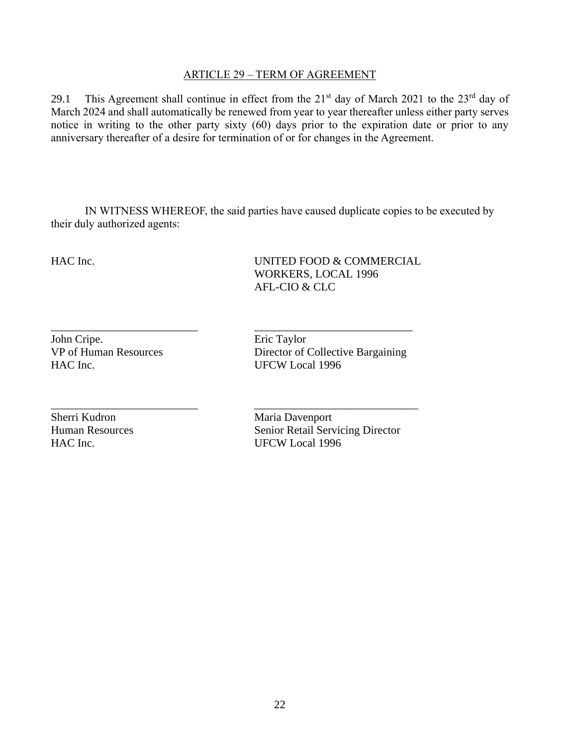#### ARTICLE 29 – TERM OF AGREEMENT

<span id="page-24-0"></span>29.1 This Agreement shall continue in effect from the  $21<sup>st</sup>$  day of March 2021 to the  $23<sup>rd</sup>$  day of March 2024 and shall automatically be renewed from year to year thereafter unless either party serves notice in writing to the other party sixty (60) days prior to the expiration date or prior to any anniversary thereafter of a desire for termination of or for changes in the Agreement.

IN WITNESS WHEREOF, the said parties have caused duplicate copies to be executed by their duly authorized agents:

\_\_\_\_\_\_\_\_\_\_\_\_\_\_\_\_\_\_\_\_\_\_\_\_\_\_ \_\_\_\_\_\_\_\_\_\_\_\_\_\_\_\_\_\_\_\_\_\_\_\_\_\_\_\_\_

HAC Inc. UNITED FOOD & COMMERCIAL WORKERS, LOCAL 1996 AFL-CIO & CLC

John Cripe. Eric Taylor HAC Inc. UFCW Local 1996

Sherri Kudron Maria Davenport

\_\_\_\_\_\_\_\_\_\_\_\_\_\_\_\_\_\_\_\_\_\_\_\_\_\_ \_\_\_\_\_\_\_\_\_\_\_\_\_\_\_\_\_\_\_\_\_\_\_\_\_\_\_\_ VP of Human Resources Director of Collective Bargaining

Human Resources Senior Retail Servicing Director HAC Inc. UFCW Local 1996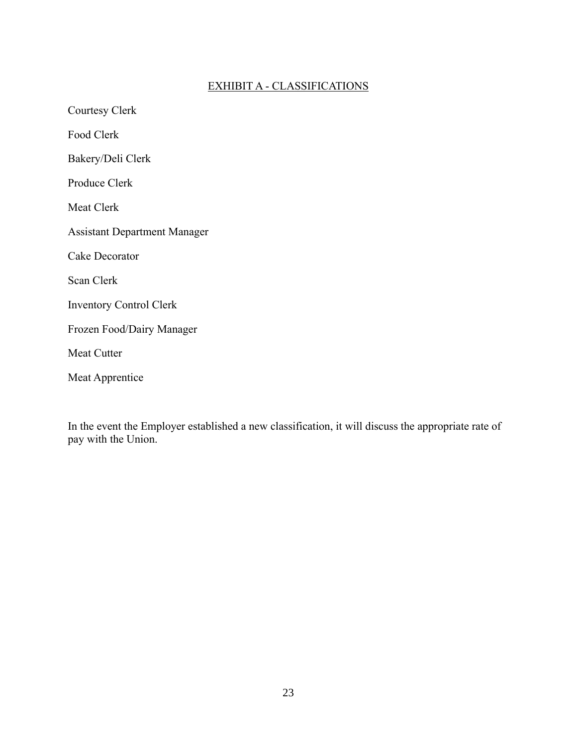## EXHIBIT A - CLASSIFICATIONS

<span id="page-25-0"></span>Courtesy Clerk Food Clerk Bakery/Deli Clerk Produce Clerk Meat Clerk Assistant Department Manager Cake Decorator Scan Clerk Inventory Control Clerk Frozen Food/Dairy Manager Meat Cutter Meat Apprentice

In the event the Employer established a new classification, it will discuss the appropriate rate of pay with the Union.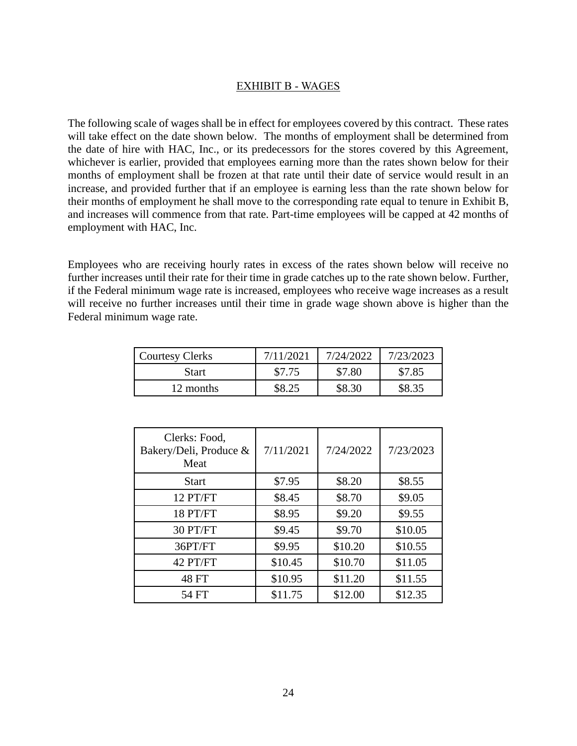#### EXHIBIT B - WAGES

<span id="page-26-0"></span>The following scale of wages shall be in effect for employees covered by this contract. These rates will take effect on the date shown below. The months of employment shall be determined from the date of hire with HAC, Inc., or its predecessors for the stores covered by this Agreement, whichever is earlier, provided that employees earning more than the rates shown below for their months of employment shall be frozen at that rate until their date of service would result in an increase, and provided further that if an employee is earning less than the rate shown below for their months of employment he shall move to the corresponding rate equal to tenure in Exhibit B, and increases will commence from that rate. Part-time employees will be capped at 42 months of employment with HAC, Inc.

Employees who are receiving hourly rates in excess of the rates shown below will receive no further increases until their rate for their time in grade catches up to the rate shown below. Further, if the Federal minimum wage rate is increased, employees who receive wage increases as a result will receive no further increases until their time in grade wage shown above is higher than the Federal minimum wage rate.

| <b>Courtesy Clerks</b> |        | 7/24/2022 | 7/23/2023 |
|------------------------|--------|-----------|-----------|
| <b>Start</b>           | \$7.75 | \$7.80    | \$7.85    |
| 12 months              |        | \$8.30    | \$8.35    |

| Clerks: Food,<br>Bakery/Deli, Produce &<br>Meat | 7/11/2021 | 7/24/2022 | 7/23/2023 |
|-------------------------------------------------|-----------|-----------|-----------|
| <b>Start</b>                                    | \$7.95    | \$8.20    | \$8.55    |
| 12 PT/FT                                        | \$8.45    | \$8.70    | \$9.05    |
| 18 PT/FT                                        | \$8.95    | \$9.20    | \$9.55    |
| 30 PT/FT                                        | \$9.45    | \$9.70    | \$10.05   |
| 36PT/FT                                         | \$9.95    | \$10.20   | \$10.55   |
| 42 PT/FT                                        | \$10.45   | \$10.70   | \$11.05   |
| 48 FT                                           | \$10.95   | \$11.20   | \$11.55   |
| 54 FT                                           | \$11.75   | \$12.00   | \$12.35   |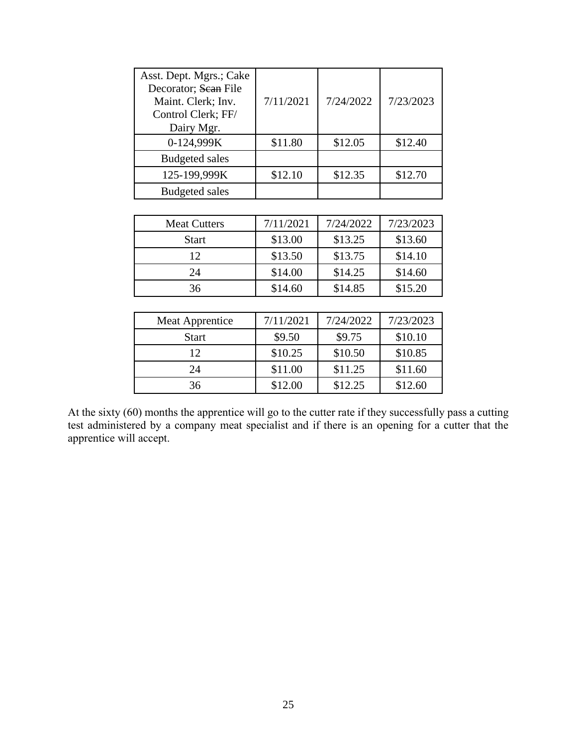| Asst. Dept. Mgrs.; Cake<br>Decorator; Sean File<br>Maint. Clerk; Inv.<br>Control Clerk; FF/<br>Dairy Mgr. | 7/11/2021 | 7/24/2022 | 7/23/2023 |
|-----------------------------------------------------------------------------------------------------------|-----------|-----------|-----------|
| 0-124,999K                                                                                                | \$11.80   | \$12.05   | \$12.40   |
| <b>Budgeted sales</b>                                                                                     |           |           |           |
| 125-199,999K                                                                                              | \$12.10   | \$12.35   | \$12.70   |
| <b>Budgeted sales</b>                                                                                     |           |           |           |
|                                                                                                           |           |           |           |
| $M = 10$                                                                                                  | 7/11/2021 | 7/21/2022 | 7.02.0002 |

| <b>Meat Cutters</b> | 7/11/2021 | 7/24/2022 | 7/23/2023 |
|---------------------|-----------|-----------|-----------|
| <b>Start</b>        | \$13.00   | \$13.25   | \$13.60   |
| 12                  | \$13.50   | \$13.75   | \$14.10   |
| 24                  | \$14.00   | \$14.25   | \$14.60   |
| 36                  | \$14.60   | \$14.85   | \$15.20   |

| Meat Apprentice | 7/11/2021 | 7/24/2022 | 7/23/2023 |
|-----------------|-----------|-----------|-----------|
| <b>Start</b>    | \$9.50    | \$9.75    | \$10.10   |
| 12              | \$10.25   | \$10.50   | \$10.85   |
| 24              | \$11.00   | \$11.25   | \$11.60   |
| 36              | \$12.00   | \$12.25   | \$12.60   |
|                 |           |           |           |

At the sixty (60) months the apprentice will go to the cutter rate if they successfully pass a cutting test administered by a company meat specialist and if there is an opening for a cutter that the apprentice will accept.